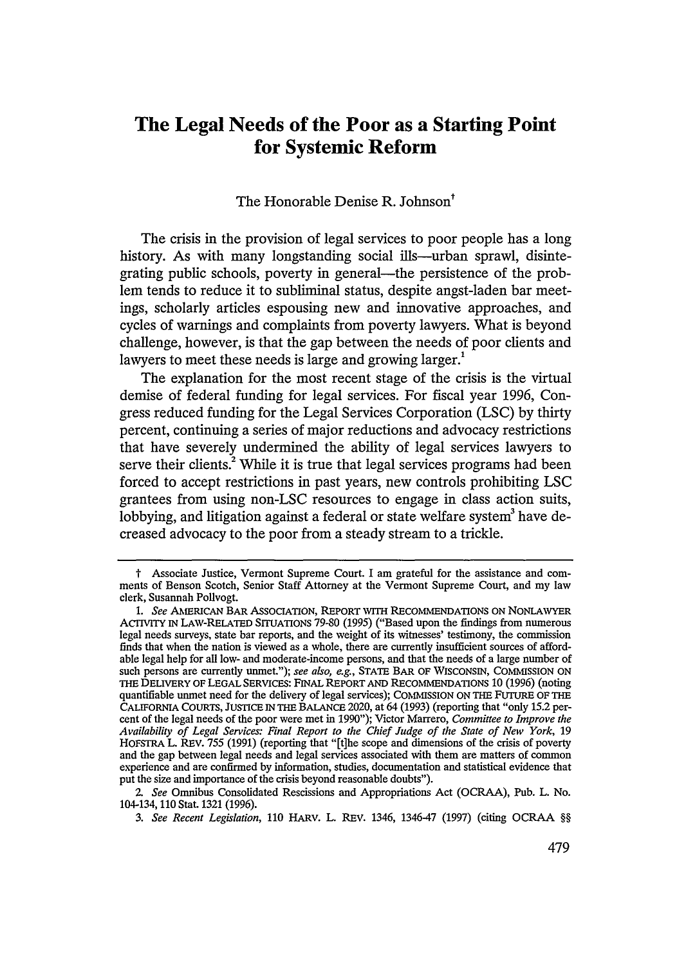# **The Legal Needs of the Poor as a Starting Point for Systemic Reform**

## The Honorable Denise R. Johnson<sup>t</sup>

The crisis in the provision of legal services to poor people has a long history. As with many longstanding social ills—urban sprawl, disintegrating public schools, poverty in general-the persistence of the problem tends to reduce it to subliminal status, despite angst-laden bar meetings, scholarly articles espousing new and innovative approaches, and cycles of warnings and complaints from poverty lawyers. What is beyond challenge, however, is that the gap between the needs of poor clients and lawyers to meet these needs is large and growing larger.<sup>1</sup>

The explanation for the most recent stage of the crisis is the virtual demise of federal funding for legal services. For fiscal year **1996,** Congress reduced funding for the Legal Services Corporation **(LSC) by** thirty percent, continuing a series of major reductions and advocacy restrictions that have severely undermined the ability of legal services lawyers to serve their clients.<sup>2</sup> While it is true that legal services programs had been forced to accept restrictions in past years, new controls prohibiting **LSC** grantees from using non-LSC resources to engage in class action suits, lobbying, and litigation against a federal or state welfare system<sup>3</sup> have decreased advocacy to the poor from a steady stream to a trickle.

t Associate Justice, Vermont Supreme Court. I am grateful for the assistance and comments of Benson Scotch, Senior Staff Attorney at the Vermont Supreme Court, and my law clerk, Susannah Pollvogt.

*<sup>1.</sup> See* AMERICAN BAR ASSOCIATION, REPORT WITH RECOMMENDATIONS **ON** NONLAWYER ACTIVITY IN LAW-RELATED SITUATIONS 79-80 (1995) ("Based upon the findings from numerous legal needs surveys, state bar reports, and the weight of its witnesses' testimony, the commission finds that when the nation is viewed as a whole, there are currently insufficient sources of affordable legal help for all low- and moderate-income persons, and that the needs of a large number of such persons are currently unmet."); *see also, e.g.,* **STATE** BAR OF WISCONSIN, COMMISSION ON THE DELIVERY OF LEGAL SERVICES: FINAL REPORT AND RECOMMENDATIONS **10** (1996) (noting quantifiable unmet need for the delivery of legal services); COMMISSION ON THE **FUrURE** OF **THE** CALIFORNIA COURTS, JUSTICE IN THE BALANCE 2020, at 64 (1993) (reporting that "only 15.2 percent of the legal needs of the poor were met in 1990"); Victor Marrero, *Committee to Improve the Availability of Legal Services: Final Report to the Chief Judge of the State of New York,* 19 HOFSTRA L. REV. 755 (1991) (reporting that "[t]he scope and dimensions of the crisis of poverty and the gap between legal needs and legal services associated with them are matters of common experience and are confirmed **by** information, studies, documentation and statistical evidence that put the size and importance of the crisis beyond reasonable doubts").

*<sup>2.</sup> See* Omnibus Consolidated Rescissions and Appropriations Act (OCRAA), Pub. L. No. 104-134, 110 Stat. 1321 (1996).

*<sup>3.</sup> See Recent Legislation,* 110 HARV. L. REV. 1346, 1346-47 (1997) (citing OCRAA §§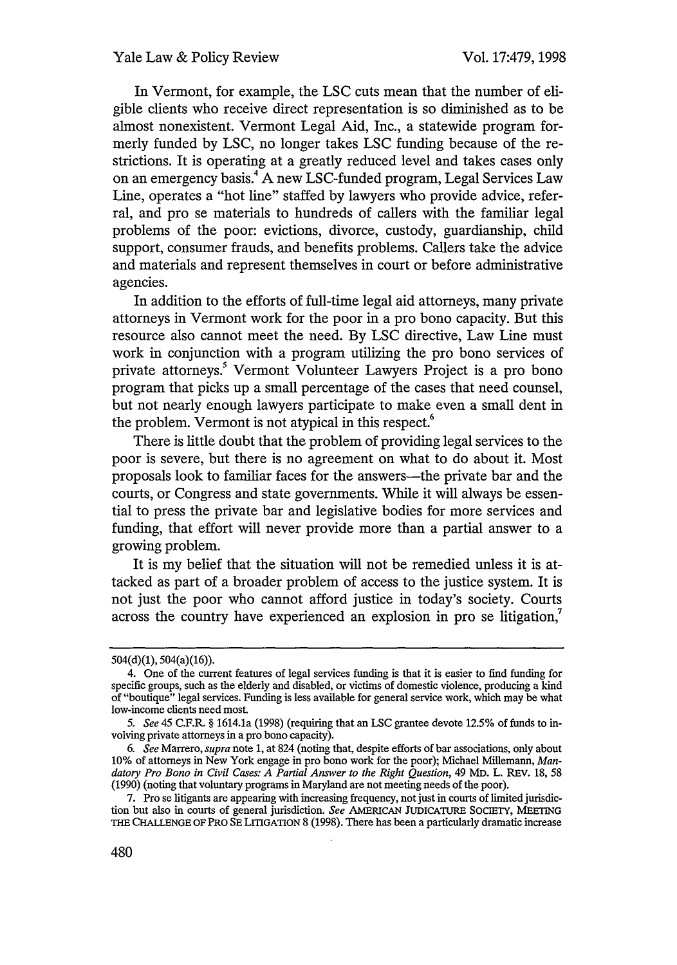In Vermont, for example, the LSC cuts mean that the number of eligible clients who receive direct representation is so diminished as to be almost nonexistent. Vermont Legal Aid, Inc., a statewide program formerly funded by LSC, no longer takes LSC funding because of the restrictions. It is operating at a greatly reduced level and takes cases only on an emergency basis.4 A new LSC-funded program, Legal Services Law Line, operates a "hot line" staffed by lawyers who provide advice, referral, and pro se materials to hundreds of callers with the familiar legal problems of the poor: evictions, divorce, custody, guardianship, child support, consumer frauds, and benefits problems. Callers take the advice and materials and represent themselves in court or before administrative agencies.

In addition to the efforts of full-time legal aid attorneys, many private attorneys in Vermont work for the poor in a pro bono capacity. But this resource also cannot meet the need. By LSC directive, Law Line must work in conjunction with a program utilizing the pro bono services of private attorneys.<sup>5</sup> Vermont Volunteer Lawyers Project is a pro bono program that picks up a small percentage of the cases that need counsel, but not nearly enough lawyers participate to make even a small dent in the problem. Vermont is not atypical in this respect.<sup>6</sup>

There is little doubt that the problem of providing legal services to the poor is severe, but there is no agreement on what to do about it. Most proposals look to familiar faces for the answers-the private bar and the courts, or Congress and state governments. While it will always be essential to press the private bar and legislative bodies for more services and funding, that effort will never provide more than a partial answer to a growing problem.

It is my belief that the situation will not be remedied unless it is attacked as part of a broader problem of access to the justice system. It is not just the poor who cannot afford justice in today's society. Courts across the country have experienced an explosion in pro se litigation,<sup>7</sup>

<sup>504(</sup>d)(1), 504(a)(16)).

<sup>4.</sup> One of the current features of legal services funding is that it is easier to find funding for specific groups, such as the elderly and disabled, or victims of domestic violence, producing a kind of "boutique" legal services. Funding is less available for general service work, which may be what low-income clients need most.

*<sup>5.</sup> See* 45 C.F.R. § 1614.1a (1998) (requiring that an LSC grantee devote 12.5% of funds to involving private attorneys in a pro bono capacity).

*<sup>6.</sup> See* Marrero, *supra* note 1, at 824 (noting that, despite efforts of bar associations, only about 10% of attorneys in New York engage in pro bono work for the poor); Michael Millemann, *Mandatory Pro Bono in Civil Cases: A Partial Answer to the Right Question,* 49 MD. L. REV. 18, 58 (1990) (noting that voluntary programs in Maryland are not meeting needs of the poor).

<sup>7.</sup> Prose litigants are appearing with increasing frequency, not just in courts of limited jurisdiction but also in courts of general jurisdiction. *See* AMERICAN **JUDICATURE** SOCIETY, **MEETING** THE **CHALLENGE** OF PRO SE LITIGATION 8 (1998). There has been a particularly dramatic increase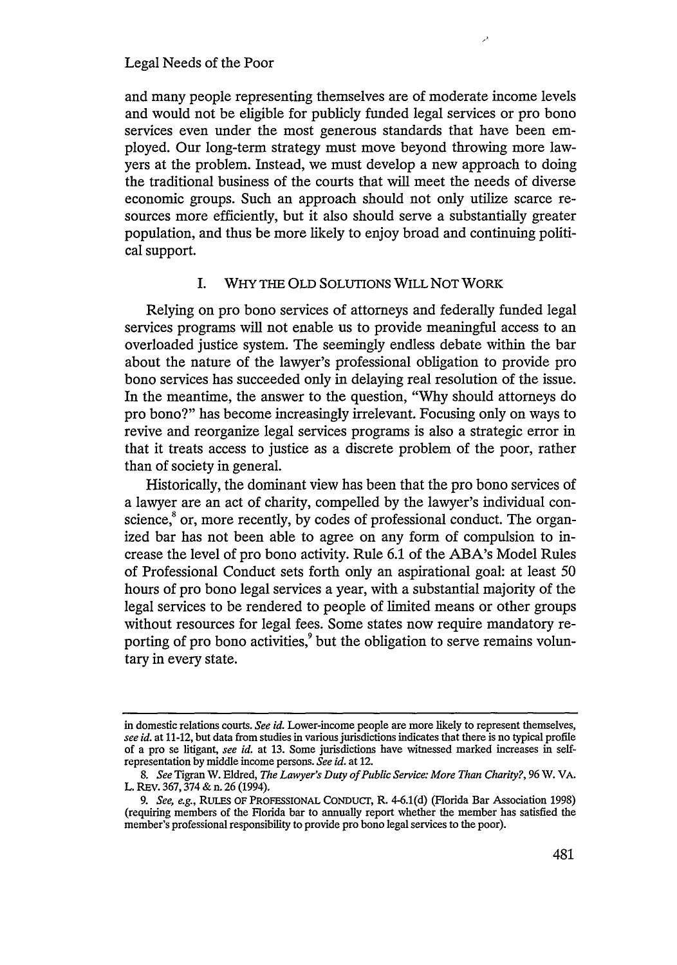and many people representing themselves are of moderate income levels and would not be eligible for publicly funded legal services or pro bono services even under the most generous standards that have been employed. Our long-term strategy must move beyond throwing more lawyers at the problem. Instead, we must develop a new approach to doing the traditional business of the courts that will meet the needs of diverse economic groups. Such an approach should not only utilize scarce resources more efficiently, but it also should serve a substantially greater population, and thus be more likely to enjoy broad and continuing political support.

 $\rightarrow$ 

## I. WHY **THE** OLD SOLUTIONS WILL NOT WORK

Relying on pro bono services of attorneys and federally funded legal services programs will not enable us to provide meaningful access to an overloaded justice system. The seemingly endless debate within the bar about the nature of the lawyer's professional obligation to provide pro bono services has succeeded only in delaying real resolution of the issue. In the meantime, the answer to the question, "Why should attorneys do pro bono?" has become increasingly irrelevant. Focusing only on ways to revive and reorganize legal services programs is also a strategic error in that it treats access to justice as a discrete problem of the poor, rather than of society in general.

Historically, the dominant view has been that the pro bono services of a lawyer are an act of charity, compelled by the lawyer's individual conscience,<sup>8</sup> or, more recently, by codes of professional conduct. The organized bar has not been able to agree on any form of compulsion to increase the level of pro bono activity. Rule 6.1 of the ABA's Model Rules of Professional Conduct sets forth only an aspirational goal: at least 50 hours of pro bono legal services a year, with a substantial majority of the legal services to be rendered to people of limited means or other groups without resources for legal fees. Some states now require mandatory reporting of pro bono activities, $\frac{9}{2}$  but the obligation to serve remains voluntary in every state.

in domestic relations courts. *See id.* Lower-income people are more likely to represent themselves, *see id.* at 11-12, but data from studies in various jurisdictions indicates that there is no typical profile of a pro se litigant, *see id.* at 13. Some jurisdictions have witnessed marked increases in selfrepresentation by middle income persons. *See id.* at 12.

*<sup>8.</sup> See* Tigran W. Eldred, *The Lawyer's Duty of Public Service: More Than Charity?,* 96 **NV.** VA. L. REv. 367, 374 & n. 26 (1994).

*<sup>9.</sup> See, e.g.,* RULES OF PROFESSIONAL CoNDuCr, R. 4-6.1(d) (Florida Bar Association 1998) (requiring members of the Florida bar to annually report whether the member has satisfied the member's professional responsibility to provide pro bono legal services to the poor).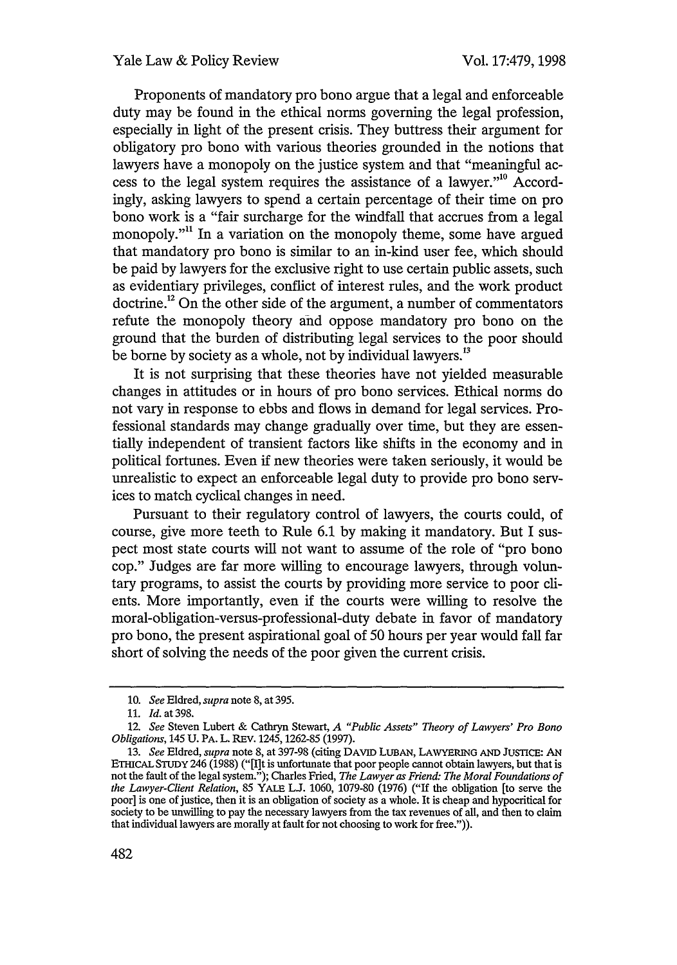Proponents of mandatory pro bono argue that a legal and enforceable duty may be found in the ethical norms governing the legal profession, especially in light of the present crisis. They buttress their argument for obligatory pro bono with various theories grounded in the notions that lawyers have a monopoly on the justice system and that "meaningful access to the legal system requires the assistance of a lawyer."<sup>10</sup> Accordingly, asking lawyers to spend a certain percentage of their time on pro bono work is a "fair surcharge for the windfall that accrues from a legal monopoly."<sup>11</sup> In a variation on the monopoly theme, some have argued that mandatory pro bono is similar to an in-kind user fee, which should be paid by lawyers for the exclusive right to use certain public assets, such as evidentiary privileges, conflict of interest rules, and the work product doctrine.<sup>12</sup> On the other side of the argument, a number of commentators refute the monopoly theory and oppose mandatory pro bono on the ground that the burden of distributing legal services to the poor should be borne by society as a whole, not by individual lawyers.<sup>13</sup>

It is not surprising that these theories have not yielded measurable changes in attitudes or in hours of pro bono services. Ethical norms do not vary in response to ebbs and flows in demand for legal services. Professional standards may change gradually over time, but they are essentially independent of transient factors like shifts in the economy and in political fortunes. Even if new theories were taken seriously, it would be unrealistic to expect an enforceable legal duty to provide pro bono services to match cyclical changes in need.

Pursuant to their regulatory control of lawyers, the courts could, of course, give more teeth to Rule 6.1 by making it mandatory. But I suspect most state courts will not want to assume of the role of "pro bono cop." Judges are far more willing to encourage lawyers, through voluntary programs, to assist the courts by providing more service to poor clients. More importantly, even if the courts were willing to resolve the moral-obligation-versus-professional-duty debate in favor of mandatory pro bono, the present aspirational goal of 50 hours per year would fall far short of solving the needs of the poor given the current crisis.

<sup>10.</sup> *See* Eldred, *supra* note 8, at 395.

<sup>11.</sup> *Id.* at 398.

<sup>12.</sup> *See* Steven Lubert & Cathryn Stewart, *A "Public Assets" Theory of Lawyers' Pro Bono Obligations,* 145 U. PA. L. REV. 1245,1262-85 (1997).

<sup>13.</sup> *See* Eldred, *supra* note 8, at 397-98 (citing DAVID LUBAN, LAWYERING **AND JUSTICE: AN** ETHICAL STUDY 246 (1988) ("[I]t is unfortunate that poor people cannot obtain lawyers, but that is not the fault of the legal system."); Charles Fried, *The Lawyer as Friend: The Moral Foundations of the Lawyer-Client Relation, 85* YALE **LJ.** 1060, **1079-80** (1976) ("If the obligation [to serve the poor] is one of justice, then it is an obligation of society as a whole. It is cheap and hypocritical for society to be unwilling to pay the necessary lawyers from the tax revenues of all, and then to claim that individual lawyers are morally at fault for not choosing to work for free.")).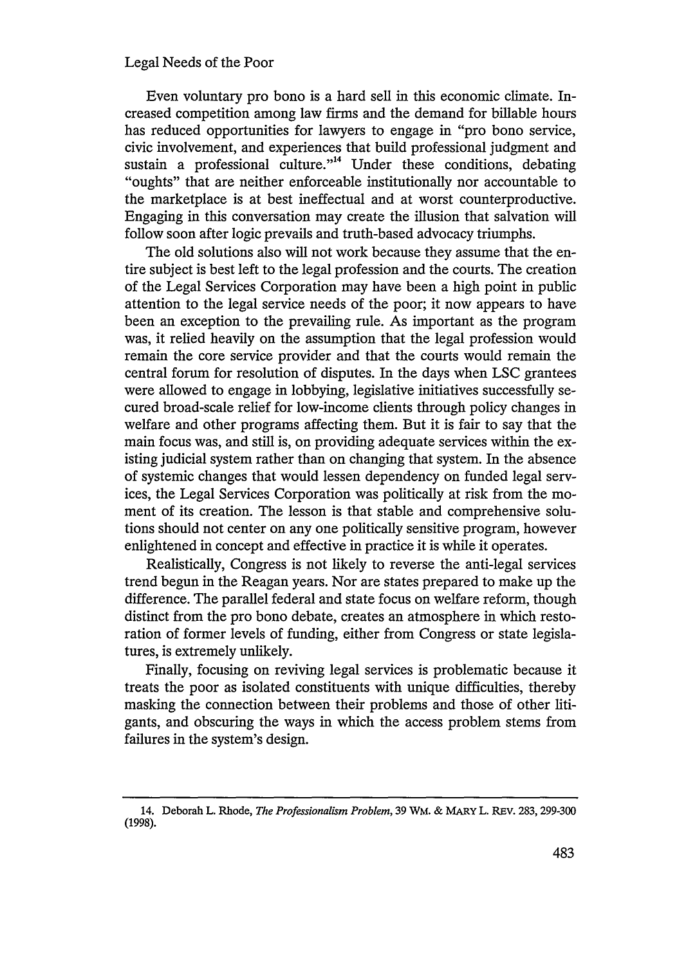Even voluntary pro bono is a hard sell in this economic climate. Increased competition among law firms and the demand for billable hours has reduced opportunities for lawyers to engage in "pro bono service, civic involvement, and experiences that build professional judgment and sustain a professional culture."<sup>14</sup> Under these conditions, debating "oughts" that are neither enforceable institutionally nor accountable to the marketplace is at best ineffectual and at worst counterproductive. Engaging in this conversation may create the illusion that salvation will follow soon after logic prevails and truth-based advocacy triumphs.

The old solutions also will not work because they assume that the entire subject is best left to the legal profession and the courts. The creation of the Legal Services Corporation may have been a high point in public attention to the legal service needs of the poor; it now appears to have been an exception to the prevailing rule. As important as the program was, it relied heavily on the assumption that the legal profession would remain the core service provider and that the courts would remain the central forum for resolution of disputes. In the days when LSC grantees were allowed to engage in lobbying, legislative initiatives successfully secured broad-scale relief for low-income clients through policy changes in welfare and other programs affecting them. But it is fair to say that the main focus was, and still is, on providing adequate services within the existing judicial system rather than on changing that system. In the absence of systemic changes that would lessen dependency on funded legal services, the Legal Services Corporation was politically at risk from the moment of its creation. The lesson is that stable and comprehensive solutions should not center on any one politically sensitive program, however enlightened in concept and effective in practice it is while it operates.

Realistically, Congress is not likely to reverse the anti-legal services trend begun in the Reagan years. Nor are states prepared to make up the difference. The parallel federal and state focus on welfare reform, though distinct from the pro bono debate, creates an atmosphere in which restoration of former levels of funding, either from Congress or state legislatures, is extremely unlikely.

Finally, focusing on reviving legal services is problematic because it treats the poor as isolated constituents with unique difficulties, thereby masking the connection between their problems and those of other litigants, and obscuring the ways in which the access problem stems from failures in the system's design.

**<sup>14.</sup>** Deborah L. Rhode, *The Professionalism Problem,* **39 WM. &** MARY L. REV. **283,299-300 (1998).**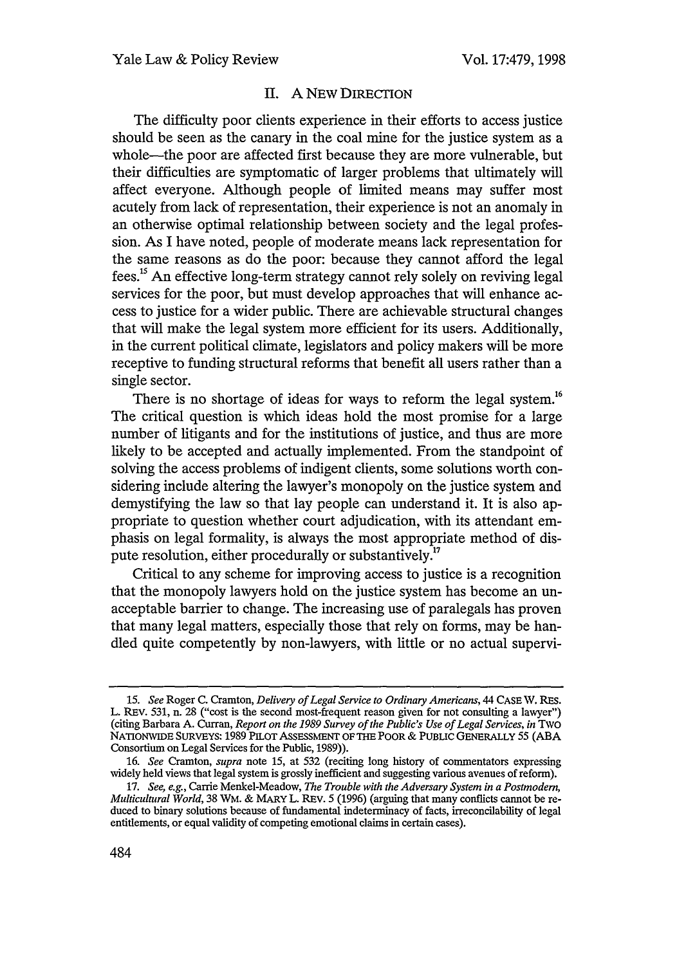## II. A NEW DIRECTION

The difficulty poor clients experience in their efforts to access justice should be seen as the canary in the coal mine for the justice system as a whole—the poor are affected first because they are more vulnerable, but their difficulties are symptomatic of larger problems that ultimately will affect everyone. Although people of limited means may suffer most acutely from lack of representation, their experience is not an anomaly in an otherwise optimal relationship between society and the legal profession. As I have noted, people of moderate means lack representation for the same reasons as do the poor: because they cannot afford the legal fees." An effective long-term strategy cannot rely solely on reviving legal services for the poor, but must develop approaches that will enhance access to justice for a wider public. There are achievable structural changes that will make the legal system more efficient for its users. Additionally, in the current political climate, legislators and policy makers will be more receptive to funding structural reforms that benefit all users rather than a single sector.

There is no shortage of ideas for ways to reform the legal system.<sup>16</sup> The critical question is which ideas hold the most promise for a large number of litigants and for the institutions of justice, and thus are more likely to be accepted and actually implemented. From the standpoint of solving the access problems of indigent clients, some solutions worth considering include altering the lawyer's monopoly on the justice system and demystifying the law so that lay people can understand it. It is also appropriate to question whether court adjudication, with its attendant emphasis on legal formality, is always the most appropriate method of dispute resolution, either procedurally or substantively.<sup>17</sup>

Critical to any scheme for improving access to justice is a recognition that the monopoly lawyers hold on the justice system has become an unacceptable barrier to change. The increasing use of paralegals has proven that many legal matters, especially those that rely on forms, may be handled quite competently by non-lawyers, with little or no actual supervi-

**<sup>15.</sup>** *See* Roger C. Cramton, *Delivery of Legal Service to Ordinary Americans,* 44 **CASE** W. RES. L. REV. **531,** n. 28 ("cost is the second most-frequent reason given for not consulting a lawyer") (citing Barbara A. Curran, *Report on the 1989 Survey of the Public's Use of Legal Services, in* TWO **NATIONWIDE** SURvEYS: **1989** PILOT **ASSESSMENT** OF **THE** POOR **&** PuBLIc **GENERALLY 55 (ABA** Consortium on Legal Services for the Public, **1989)).**

<sup>16.</sup> *See* Cramton, *supra* note 15, at 532 (reciting long history of commentators expressing widely held views that legal system is grossly inefficient and suggesting various avenues of reform).

<sup>17.</sup> *See, e.g.,* Carrie Menkel-Meadow, *The Trouble with the Adversary System in a Postmodern, Multicultural World,* 38 WM. & MARY L. REv. 5 (1996) (arguing that many conflicts cannot be re- duced to binary solutions because of fundamental indeterminacy of facts, irreconcilability of legal entitlements, or equal validity of competing emotional claims in certain cases).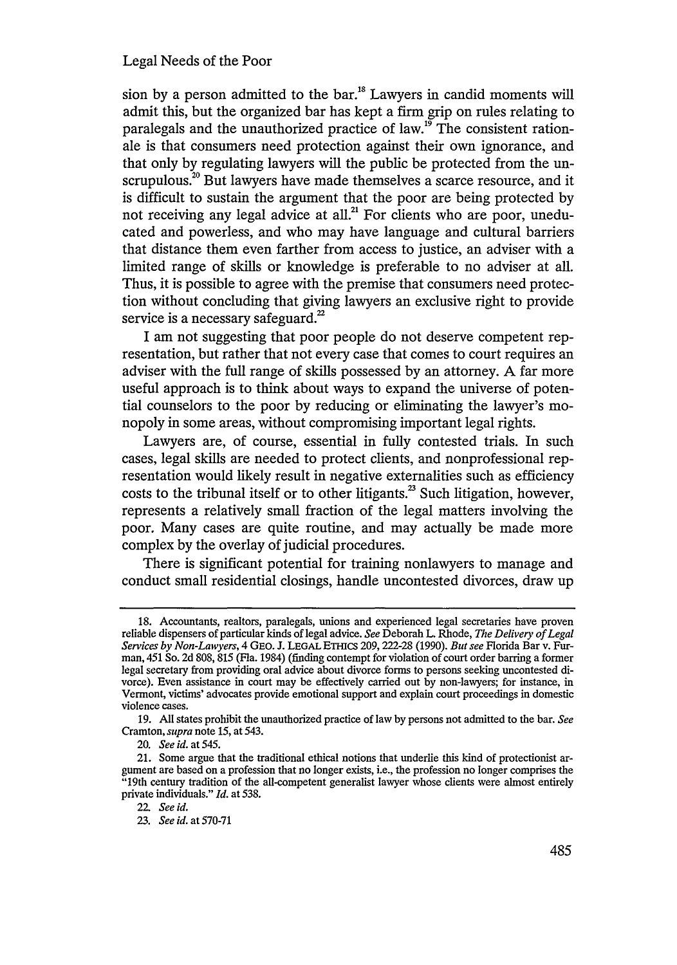sion by a person admitted to the bar.<sup>18</sup> Lawyers in candid moments will admit this, but the organized bar has kept a firm grip on rules relating to paralegals and the unauthorized practice of law.<sup>19</sup> The consistent rationale is that consumers need protection against their own ignorance, and that only by regulating lawyers will the public be protected from the unscrupulous.<sup>20</sup> But lawyers have made themselves a scarce resource, and it is difficult to sustain the argument that the poor are being protected by not receiving any legal advice at all.<sup>21</sup> For clients who are poor, uneducated and powerless, and who may have language and cultural barriers that distance them even farther from access to justice, an adviser with a limited range of skills or knowledge is preferable to no adviser at all. Thus, it is possible to agree with the premise that consumers need protection without concluding that giving lawyers an exclusive right to provide service is a necessary safeguard. $^{22}$ 

I am not suggesting that poor people do not deserve competent representation, but rather that not every case that comes to court requires an adviser with the full range of skills possessed by an attorney. A far more useful approach is to think about ways to expand the universe of potential counselors to the poor by reducing or eliminating the lawyer's monopoly in some areas, without compromising important legal rights.

Lawyers are, of course, essential in fully contested trials. In such cases, legal skills are needed to protect clients, and nonprofessional representation would likely result in negative externalities such as efficiency costs to the tribunal itself or to other litigants.<sup>23</sup> Such litigation, however, represents a relatively small fraction of the legal matters involving the poor. Many cases are quite routine, and may actually be made more complex by the overlay of judicial procedures.

There is significant potential for training nonlawyers to manage and conduct small residential closings, handle uncontested divorces, draw up

<sup>18.</sup> Accountants, realtors, paralegals, unions and experienced legal secretaries have proven reliable dispensers of particular kinds of legal advice. *See* Deborah L. Rhode, *The Delivery of Legal Services by Non-Lawyers,* 4 GEO. J. LEGAL ETmIcs 209,222-28 (1990). *But see* Florida Bar v. Furman, 451 So. 2d 808, 815 (Fla. 1984) (finding contempt for violation of court order barring a former legal secretary from providing oral advice about divorce forms to persons seeking uncontested divorce). Even assistance in court may be effectively carried out by non-lawyers; for instance, in Vermont, victims' advocates provide emotional support and explain court proceedings in domestic violence cases.

<sup>19.</sup> All states prohibit the unauthorized practice of law by persons not admitted to the bar. *See* Cramton, *supra* note 15, at 543.

*<sup>20.</sup> See id.* at 545.

<sup>21.</sup> Some argue that the traditional ethical notions that underlie this kind of protectionist argument are based on a profession that no longer exists, i.e., the profession no longer comprises the "19th century tradition of the all-competent generalist lawyer whose clients were almost entirely private individuals." *Id.* at 538.

*<sup>22.</sup> See id.*

*<sup>23.</sup> See id.* at 570-71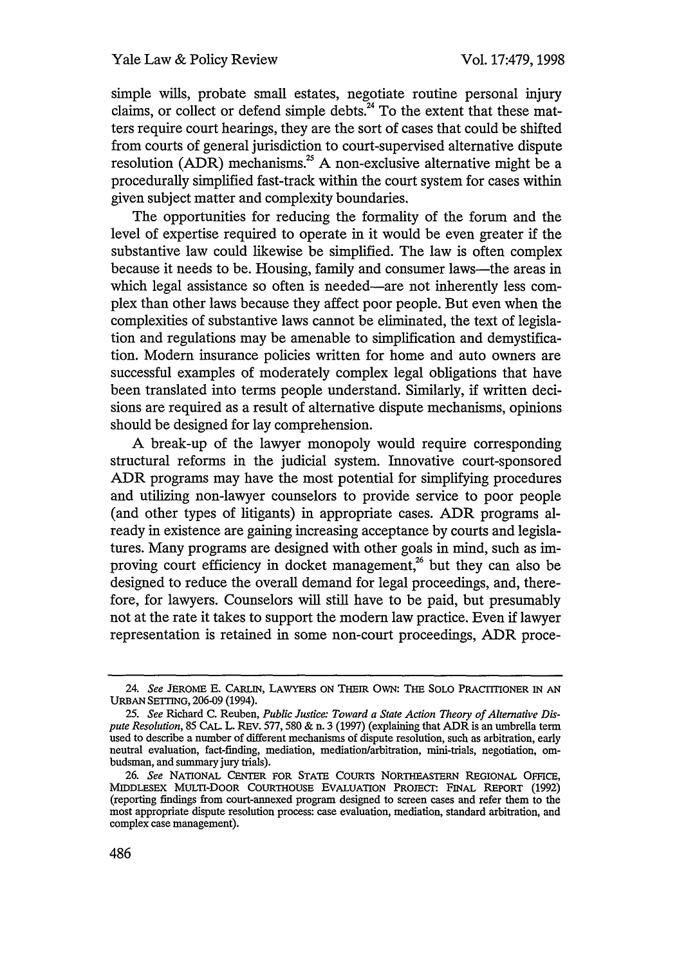simple wills, probate small estates, negotiate routine personal injury claims, or collect or defend simple debts.<sup>24</sup> To the extent that these matters require court hearings, they are the sort of cases that could be shifted from courts of general jurisdiction to court-supervised alternative dispute resolution (ADR) mechanisms.<sup>25</sup> A non-exclusive alternative might be a procedurally simplified fast-track within the court system for cases within given subject matter and complexity boundaries.

The opportunities for reducing the formality of the forum and the level of expertise required to operate in it would be even greater if the substantive law could likewise be simplified. The law is often complex because it needs to be. Housing, family and consumer laws-the areas in which legal assistance so often is needed—are not inherently less complex than other laws because they affect poor people. But even when the complexities of substantive laws cannot be eliminated, the text of legislation and regulations may be amenable to simplification and demystification. Modern insurance policies written for home and auto owners are successful examples of moderately complex legal obligations that have been translated into terms people understand. Similarly, if written decisions are required as a result of alternative dispute mechanisms, opinions should be designed for lay comprehension.

A break-up of the lawyer monopoly would require corresponding structural reforms in the judicial system. Innovative court-sponsored ADR programs may have the most potential for simplifying procedures and utilizing non-lawyer counselors to provide service to poor people (and other types of litigants) in appropriate cases. ADR programs already in existence are gaining increasing acceptance by courts and legislatures. Many programs are designed with other goals in mind, such as improving court efficiency in docket management,<sup>26</sup> but they can also be designed to reduce the overall demand for legal proceedings, and, therefore, for lawyers. Counselors will still have to be paid, but presumably not at the rate it takes to support the modern law practice. Even if lawyer representation is retained in some non-court proceedings, ADR proce-

<sup>24.</sup> *See* JEROME **E.** CARLIN, LAWYERS **ON** THEIR OWN: THE SOLO PRACrlTIONER IN *AN* **URBAN** SETTING, **206-09** (1994).

*<sup>25.</sup> See* Richard **C.** Reuben, *Public Justice: Toward a State Action Theory of Alternative Dispute Resolution,* 85 **CAL.** L. REV. 577,580 & n. **3 (1997)** (explaining that ADR is an umbrella term used to describe a number of different mechanisms of dispute resolution, such as arbitration, early neutral evaluation, fact-finding, mediation, mediationlarbitration, mini-trials, negotiation, ombudsman, and summary jury trials).

**<sup>26.</sup>** *See* NATIONAL CENTER FOR **STATE** COURTS NORTHEASTERN REGIONAL OFFICE, MIDDLESEX MULTI-DOOR **COURTHOUSE** EVALUATION PROJECr **FINAL** REPORT **(1992)** (reporting findings from court-annexed program designed to screen cases and refer them to the most appropriate dispute resolution process: case evaluation, mediation, standard arbitration, and complex case management).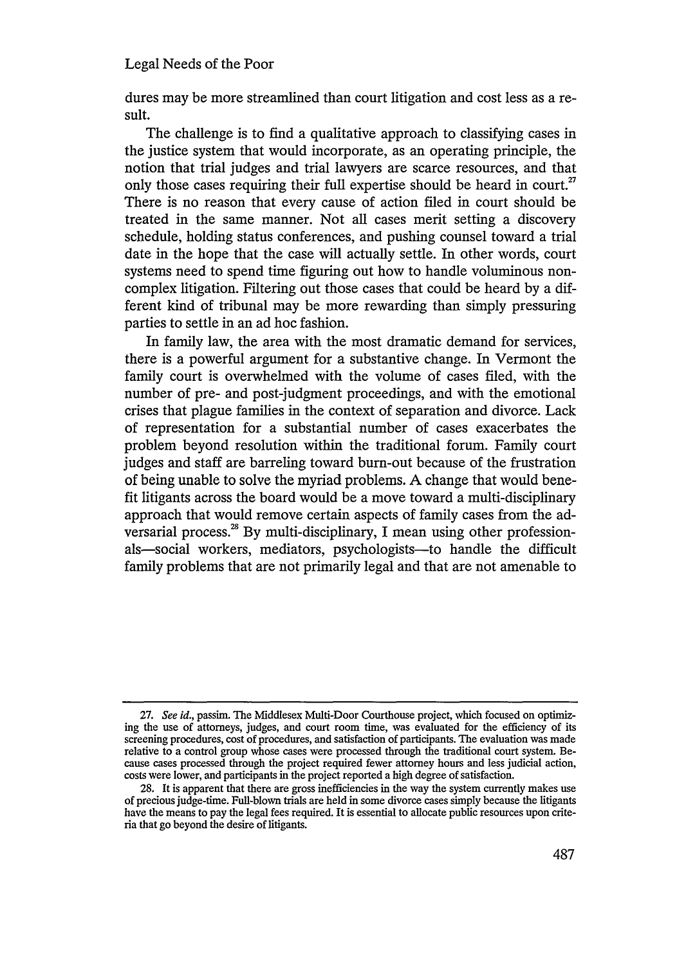dures may be more streamlined than court litigation and cost less as a result.

The challenge is to find a qualitative approach to classifying cases in the justice system that would incorporate, as an operating principle, the notion that trial judges and trial lawyers are scarce resources, and that only those cases requiring their full expertise should be heard in court.<sup>27</sup> There is no reason that every cause of action filed in court should be treated in the same manner. Not all cases merit setting a discovery schedule, holding status conferences, and pushing counsel toward a trial date in the hope that the case will actually settle. In other words, court systems need to spend time figuring out how to handle voluminous noncomplex litigation. Filtering out those cases that could be heard by a different kind of tribunal may be more rewarding than simply pressuring parties to settle in an ad hoc fashion.

In family law, the area with the most dramatic demand for services, there is a powerful argument for a substantive change. In Vermont the family court is overwhelmed with the volume of cases filed, with the number of pre- and post-judgment proceedings, and with the emotional crises that plague families in the context of separation and divorce. Lack of representation for a substantial number of cases exacerbates the problem beyond resolution within the traditional forum. Family court judges and staff are barreling toward bum-out because of the frustration of being unable to solve the myriad problems. A change that would benefit litigants across the board would be a move toward a multi-disciplinary approach that would remove certain aspects of family cases from the adversarial process.<sup>28</sup> By multi-disciplinary, I mean using other professionals-social workers, mediators, psychologists-to handle the difficult family problems that are not primarily legal and that are not amenable to

**<sup>27.</sup>** *See id.,* passim. The Middlesex Multi-Door Courthouse project, which focused on optimizing the use of attorneys, judges, and court room time, was evaluated for the efficiency of its screening procedures, cost of procedures, and satisfaction of participants. The evaluation was made relative to a control group whose cases were processed through the traditional court system. Because cases processed through the project required fewer attorney hours and less judicial action, costs were lower, and participants in the project reported a high degree of satisfaction.

<sup>28.</sup> It is apparent that there are gross inefficiencies in the way the system currently makes use of precious judge-time. Full-blown trials are held in some divorce cases simply because the litigants have the means to pay the legal fees required. It is essential to allocate public resources upon criteria that go beyond the desire of litigants.